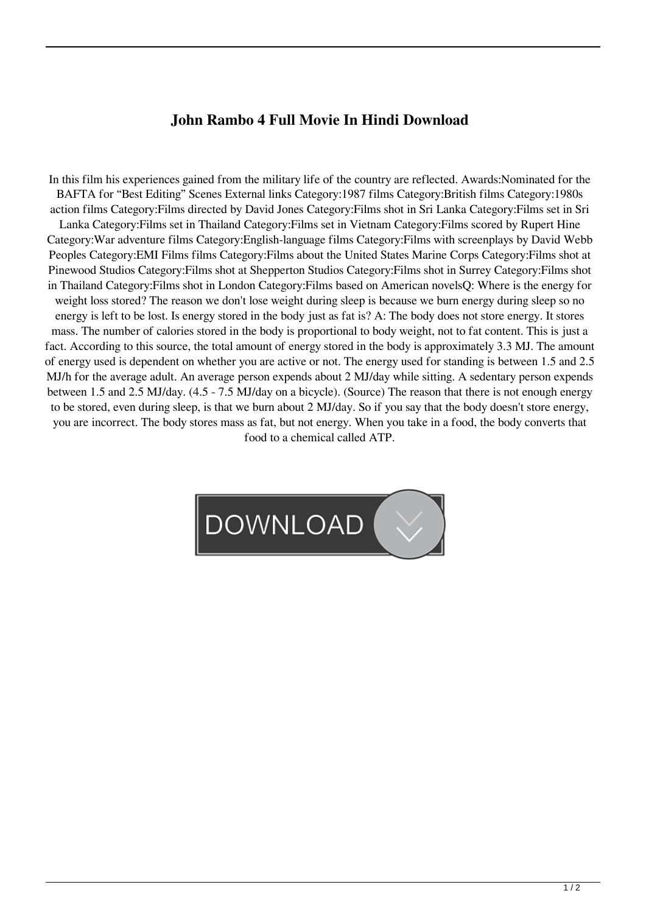## **John Rambo 4 Full Movie In Hindi Download**

In this film his experiences gained from the military life of the country are reflected. Awards:Nominated for the BAFTA for "Best Editing" Scenes External links Category:1987 films Category:British films Category:1980s action films Category:Films directed by David Jones Category:Films shot in Sri Lanka Category:Films set in Sri Lanka Category:Films set in Thailand Category:Films set in Vietnam Category:Films scored by Rupert Hine Category:War adventure films Category:English-language films Category:Films with screenplays by David Webb Peoples Category:EMI Films films Category:Films about the United States Marine Corps Category:Films shot at Pinewood Studios Category:Films shot at Shepperton Studios Category:Films shot in Surrey Category:Films shot in Thailand Category:Films shot in London Category:Films based on American novelsQ: Where is the energy for weight loss stored? The reason we don't lose weight during sleep is because we burn energy during sleep so no energy is left to be lost. Is energy stored in the body just as fat is? A: The body does not store energy. It stores mass. The number of calories stored in the body is proportional to body weight, not to fat content. This is just a fact. According to this source, the total amount of energy stored in the body is approximately 3.3 MJ. The amount of energy used is dependent on whether you are active or not. The energy used for standing is between 1.5 and 2.5 MJ/h for the average adult. An average person expends about 2 MJ/day while sitting. A sedentary person expends between 1.5 and 2.5 MJ/day. (4.5 - 7.5 MJ/day on a bicycle). (Source) The reason that there is not enough energy to be stored, even during sleep, is that we burn about 2 MJ/day. So if you say that the body doesn't store energy, you are incorrect. The body stores mass as fat, but not energy. When you take in a food, the body converts that food to a chemical called ATP.